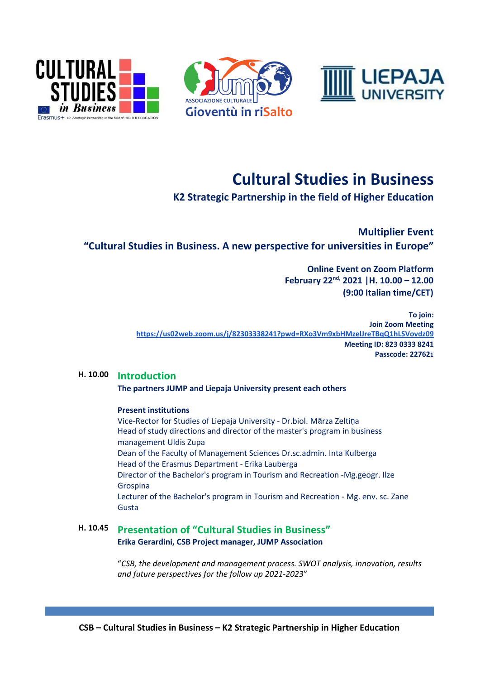





# **Cultural Studies in Business**

**K2 Strategic Partnership in the field of Higher Education**

**Multiplier Event "Cultural Studies in Business. A new perspective for universities in Europe"**

> **Online Event on Zoom Platform February 22nd, 2021 |H. 10.00 – 12.00 (9:00 Italian time/CET)**

**To join: Join Zoom Meeting <https://us02web.zoom.us/j/82303338241?pwd=RXo3Vm9xbHMzelJreTBqQ1hLSVovdz09> Meeting ID: 823 0333 8241 Passcode: 227621**

## **H. 10.00 Introduction**

**The partners JUMP and Liepaja University present each others**

#### **Present institutions**

Vice-Rector for Studies of Liepaja University - Dr.biol. Mārza Zeltiņa Head of study directions and director of the master's program in business management Uldis Zupa Dean of the Faculty of Management Sciences Dr.sc.admin. Inta Kulberga Head of the Erasmus Department - Erika Lauberga Director of the Bachelor's program in Tourism and Recreation -Mg.geogr. Ilze Grospina Lecturer of the Bachelor's program in Tourism and Recreation - Mg. env. sc. Zane Gusta

## **H. 10.45 Presentation of "Cultural Studies in Business" Erika Gerardini, CSB Project manager, JUMP Association**

"*CSB, the development and management process. SWOT analysis, innovation, results and future perspectives for the follow up 2021-2023*"